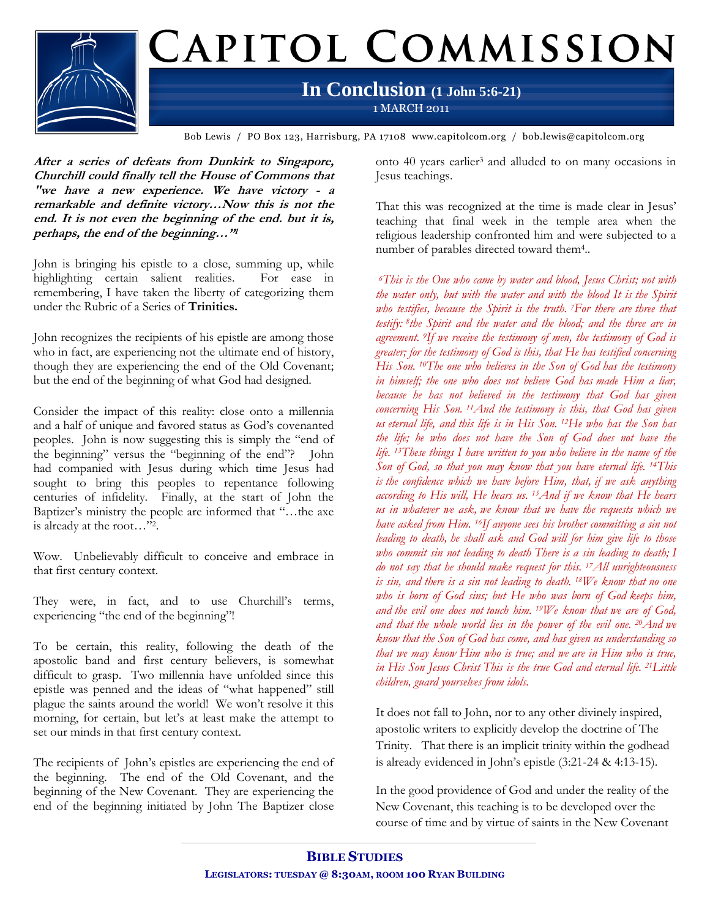

Bob Lewis / PO Box 123, Harrisburg, PA 17108 www.capitolcom.org / bob.lewis@capitolcom.org

**After a series of defeats from Dunkirk to Singapore, Churchill could finally tell the House of Commons that "we have a new experience. We have victory - <sup>a</sup> remarkable and definite victory…Now this is not the end. It is not even the beginning of the end. but it is, perhaps, the end of the beginning…"<sup>1</sup>**

John is bringing his epistle to a close, summing up, while highlighting certain salient realities. For ease in remembering, I have taken the liberty of categorizing them under the Rubric of a Series of **Trinities.**

John recognizes the recipients of his epistle are among those who in fact, are experiencing not the ultimate end of history, though they are experiencing the end of the Old Covenant; but the end of the beginning of what God had designed.

Consider the impact of this reality: close onto a millennia and a half of unique and favored status as God's covenanted peoples. John is now suggesting this is simply the "end of the beginning" versus the "beginning of the end"? John had companied with Jesus during which time Jesus had sought to bring this peoples to repentance following centuries of infidelity. Finally, at the start of John the Baptizer's ministry the people are informed that "…the axe is already at the root…"<sup>2</sup> .

Wow. Unbelievably difficult to conceive and embrace in that first century context.

They were, in fact, and to use Churchill's terms, experiencing "the end of the beginning"!

To be certain, this reality, following the death of the apostolic band and first century believers, is somewhat difficult to grasp. Two millennia have unfolded since this epistle was penned and the ideas of "what happened" still plague the saints around the world! We won't resolve it this morning, for certain, but let's at least make the attempt to set our minds in that first century context.

The recipients of John's epistles are experiencing the end of the beginning. The end of the Old Covenant, and the beginning of the New Covenant. They are experiencing the end of the beginning initiated by John The Baptizer close

onto 40 years earlier<sup>3</sup> and alluded to on many occasions in Jesus teachings.

That this was recognized at the time is made clear in Jesus' teaching that final week in the temple area when the religious leadership confronted him and were subjected to a number of parables directed toward them<sup>4</sup>..

*<sup>6</sup>This is the One who came by water and blood, Jesus Christ; not with the water only, but with the water and with the blood It is the Spirit who testifies, because the Spirit is the truth. <sup>7</sup>For there are three that testify: <sup>8</sup> the Spirit and the water and the blood; and the three are in agreement. <sup>9</sup>If we receive the testimony of men, the testimony of God is greater; for the testimony of God is this, that He has testified concerning His Son. <sup>10</sup>The one who believes in the Son of God has the testimony in himself; the one who does not believe God has made Him a liar, because he has not believed in the testimony that God has given concerning His Son. <sup>11</sup>And the testimony is this, that God has given us eternal life, and this life is in His Son. <sup>12</sup>He who has the Son has the life; he who does not have the Son of God does not have the life. <sup>13</sup>These things I have written to you who believe in the name of the Son of God, so that you may know that you have eternal life. <sup>14</sup>This is the confidence which we have before Him, that, if we ask anything according to His will, He hears us. <sup>15</sup>And if we know that He hears us in whatever we ask, we know that we have the requests which we have asked from Him. <sup>16</sup>If anyone sees his brother committing a sin not leading to death, he shall ask and God will for him give life to those who commit sin not leading to death There is a sin leading to death; I do not say that he should make request for this. <sup>17</sup>All unrighteousness is sin, and there is a sin not leading to death. <sup>18</sup>We know that no one who is born of God sins; but He who was born of God keeps him, and the evil one does not touch him. <sup>19</sup>We know that we are of God, and that the whole world lies in the power of the evil one. <sup>20</sup>And we know that the Son of God has come, and has given us understanding so that we may know Him who is true; and we are in Him who is true, in His Son Jesus Christ This is the true God and eternal life. <sup>21</sup>Little children, guard yourselves from idols.*

It does not fall to John, nor to any other divinely inspired, apostolic writers to explicitly develop the doctrine of The Trinity. That there is an implicit trinity within the godhead is already evidenced in John's epistle (3:21-24 & 4:13-15).

In the good providence of God and under the reality of the New Covenant, this teaching is to be developed over the course of time and by virtue of saints in the New Covenant